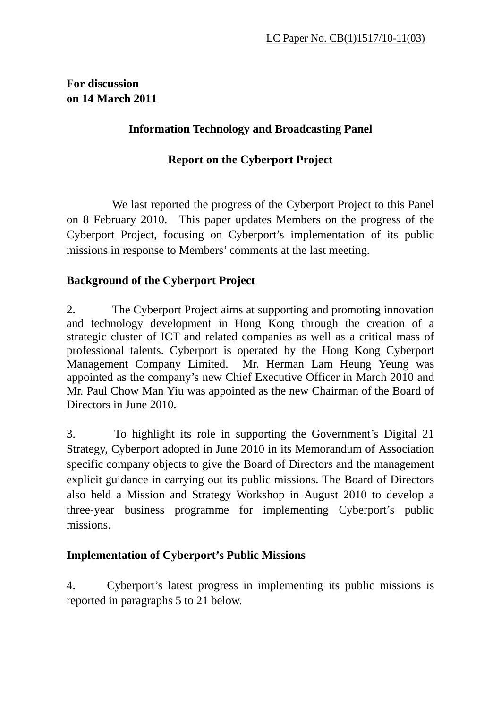## **For discussion on 14 March 2011**

## **Information Technology and Broadcasting Panel**

# **Report on the Cyberport Project**

 We last reported the progress of the Cyberport Project to this Panel on 8 February 2010. This paper updates Members on the progress of the Cyberport Project, focusing on Cyberport's implementation of its public missions in response to Members' comments at the last meeting.

# **Background of the Cyberport Project**

2. The Cyberport Project aims at supporting and promoting innovation and technology development in Hong Kong through the creation of a strategic cluster of ICT and related companies as well as a critical mass of professional talents. Cyberport is operated by the Hong Kong Cyberport Management Company Limited. Mr. Herman Lam Heung Yeung was appointed as the company's new Chief Executive Officer in March 2010 and Mr. Paul Chow Man Yiu was appointed as the new Chairman of the Board of Directors in June 2010.

3. To highlight its role in supporting the Government's Digital 21 Strategy, Cyberport adopted in June 2010 in its Memorandum of Association specific company objects to give the Board of Directors and the management explicit guidance in carrying out its public missions. The Board of Directors also held a Mission and Strategy Workshop in August 2010 to develop a three-year business programme for implementing Cyberport's public missions.

# **Implementation of Cyberport's Public Missions**

4. Cyberport's latest progress in implementing its public missions is reported in paragraphs 5 to 21 below.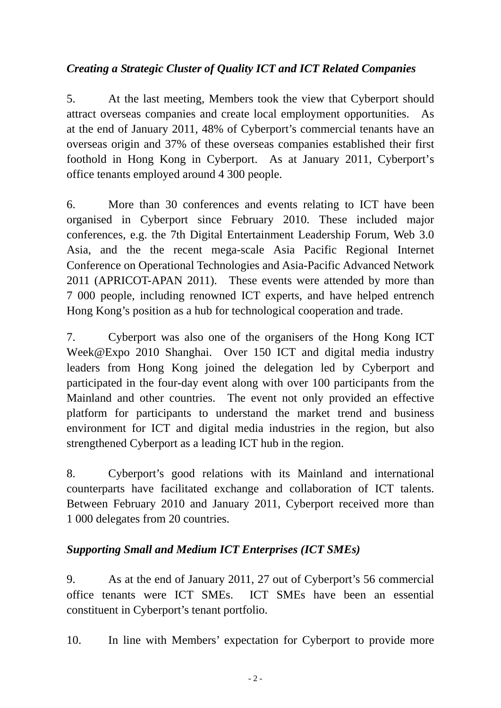# *Creating a Strategic Cluster of Quality ICT and ICT Related Companies*

5. At the last meeting, Members took the view that Cyberport should attract overseas companies and create local employment opportunities. As at the end of January 2011, 48% of Cyberport's commercial tenants have an overseas origin and 37% of these overseas companies established their first foothold in Hong Kong in Cyberport. As at January 2011, Cyberport's office tenants employed around 4 300 people.

6. More than 30 conferences and events relating to ICT have been organised in Cyberport since February 2010. These included major conferences, e.g. the 7th Digital Entertainment Leadership Forum, Web 3.0 Asia, and the the recent mega-scale Asia Pacific Regional Internet Conference on Operational Technologies and Asia-Pacific Advanced Network 2011 (APRICOT-APAN 2011). These events were attended by more than 7 000 people, including renowned ICT experts, and have helped entrench Hong Kong's position as a hub for technological cooperation and trade.

7. Cyberport was also one of the organisers of the Hong Kong ICT Week@Expo 2010 Shanghai. Over 150 ICT and digital media industry leaders from Hong Kong joined the delegation led by Cyberport and participated in the four-day event along with over 100 participants from the Mainland and other countries. The event not only provided an effective platform for participants to understand the market trend and business environment for ICT and digital media industries in the region, but also strengthened Cyberport as a leading ICT hub in the region.

8. Cyberport's good relations with its Mainland and international counterparts have facilitated exchange and collaboration of ICT talents. Between February 2010 and January 2011, Cyberport received more than 1 000 delegates from 20 countries.

## *Supporting Small and Medium ICT Enterprises (ICT SMEs)*

9. As at the end of January 2011, 27 out of Cyberport's 56 commercial office tenants were ICT SMEs. ICT SMEs have been an essential constituent in Cyberport's tenant portfolio.

10. In line with Members' expectation for Cyberport to provide more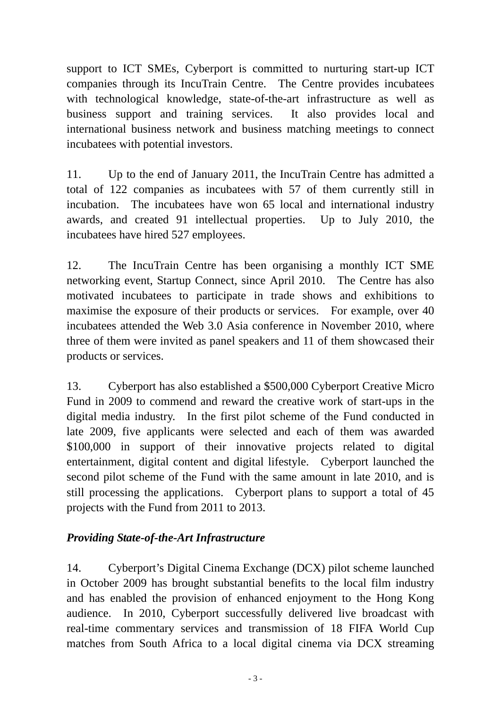support to ICT SMEs, Cyberport is committed to nurturing start-up ICT companies through its IncuTrain Centre. The Centre provides incubatees with technological knowledge, state-of-the-art infrastructure as well as business support and training services. It also provides local and international business network and business matching meetings to connect incubatees with potential investors.

11. Up to the end of January 2011, the IncuTrain Centre has admitted a total of 122 companies as incubatees with 57 of them currently still in incubation. The incubatees have won 65 local and international industry awards, and created 91 intellectual properties. Up to July 2010, the incubatees have hired 527 employees.

12. The IncuTrain Centre has been organising a monthly ICT SME networking event, Startup Connect, since April 2010. The Centre has also motivated incubatees to participate in trade shows and exhibitions to maximise the exposure of their products or services. For example, over 40 incubatees attended the Web 3.0 Asia conference in November 2010, where three of them were invited as panel speakers and 11 of them showcased their products or services.

13. Cyberport has also established a \$500,000 Cyberport Creative Micro Fund in 2009 to commend and reward the creative work of start-ups in the digital media industry. In the first pilot scheme of the Fund conducted in late 2009, five applicants were selected and each of them was awarded \$100,000 in support of their innovative projects related to digital entertainment, digital content and digital lifestyle. Cyberport launched the second pilot scheme of the Fund with the same amount in late 2010, and is still processing the applications. Cyberport plans to support a total of 45 projects with the Fund from 2011 to 2013.

## *Providing State-of-the-Art Infrastructure*

14. Cyberport's Digital Cinema Exchange (DCX) pilot scheme launched in October 2009 has brought substantial benefits to the local film industry and has enabled the provision of enhanced enjoyment to the Hong Kong audience. In 2010, Cyberport successfully delivered live broadcast with real-time commentary services and transmission of 18 FIFA World Cup matches from South Africa to a local digital cinema via DCX streaming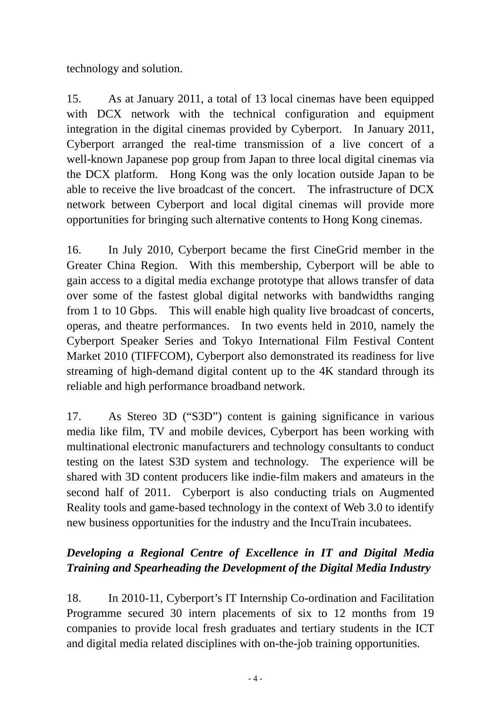technology and solution.

15. As at January 2011, a total of 13 local cinemas have been equipped with DCX network with the technical configuration and equipment integration in the digital cinemas provided by Cyberport. In January 2011, Cyberport arranged the real-time transmission of a live concert of a well-known Japanese pop group from Japan to three local digital cinemas via the DCX platform. Hong Kong was the only location outside Japan to be able to receive the live broadcast of the concert. The infrastructure of DCX network between Cyberport and local digital cinemas will provide more opportunities for bringing such alternative contents to Hong Kong cinemas.

16. In July 2010, Cyberport became the first CineGrid member in the Greater China Region. With this membership, Cyberport will be able to gain access to a digital media exchange prototype that allows transfer of data over some of the fastest global digital networks with bandwidths ranging from 1 to 10 Gbps. This will enable high quality live broadcast of concerts, operas, and theatre performances. In two events held in 2010, namely the Cyberport Speaker Series and Tokyo International Film Festival Content Market 2010 (TIFFCOM), Cyberport also demonstrated its readiness for live streaming of high-demand digital content up to the 4K standard through its reliable and high performance broadband network.

17. As Stereo 3D ("S3D") content is gaining significance in various media like film, TV and mobile devices, Cyberport has been working with multinational electronic manufacturers and technology consultants to conduct testing on the latest S3D system and technology. The experience will be shared with 3D content producers like indie-film makers and amateurs in the second half of 2011. Cyberport is also conducting trials on Augmented Reality tools and game-based technology in the context of Web 3.0 to identify new business opportunities for the industry and the IncuTrain incubatees.

# *Developing a Regional Centre of Excellence in IT and Digital Media Training and Spearheading the Development of the Digital Media Industry*

18. In 2010-11, Cyberport's IT Internship Co-ordination and Facilitation Programme secured 30 intern placements of six to 12 months from 19 companies to provide local fresh graduates and tertiary students in the ICT and digital media related disciplines with on-the-job training opportunities.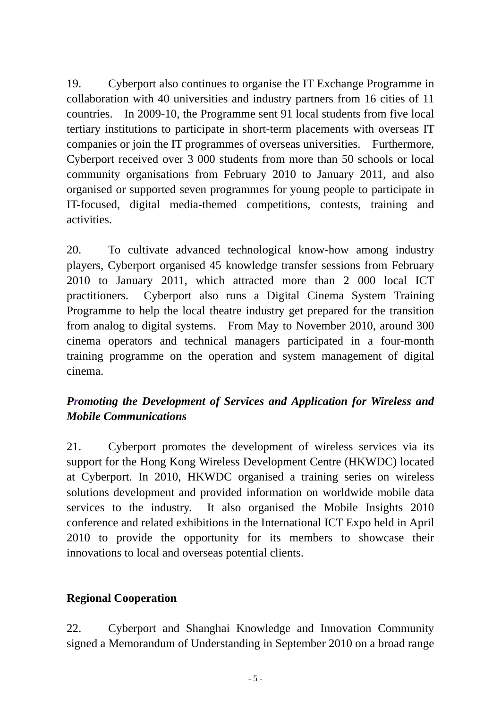19. Cyberport also continues to organise the IT Exchange Programme in collaboration with 40 universities and industry partners from 16 cities of 11 countries. In 2009-10, the Programme sent 91 local students from five local tertiary institutions to participate in short-term placements with overseas IT companies or join the IT programmes of overseas universities. Furthermore, Cyberport received over 3 000 students from more than 50 schools or local community organisations from February 2010 to January 2011, and also organised or supported seven programmes for young people to participate in IT-focused, digital media-themed competitions, contests, training and activities.

20. To cultivate advanced technological know-how among industry players, Cyberport organised 45 knowledge transfer sessions from February 2010 to January 2011, which attracted more than 2 000 local ICT practitioners. Cyberport also runs a Digital Cinema System Training Programme to help the local theatre industry get prepared for the transition from analog to digital systems. From May to November 2010, around 300 cinema operators and technical managers participated in a four-month training programme on the operation and system management of digital cinema.

# *Promoting the Development of Services and Application for Wireless and Mobile Communications*

21. Cyberport promotes the development of wireless services via its support for the Hong Kong Wireless Development Centre (HKWDC) located at Cyberport. In 2010, HKWDC organised a training series on wireless solutions development and provided information on worldwide mobile data services to the industry. It also organised the Mobile Insights 2010 conference and related exhibitions in the International ICT Expo held in April 2010 to provide the opportunity for its members to showcase their innovations to local and overseas potential clients.

## **Regional Cooperation**

22. Cyberport and Shanghai Knowledge and Innovation Community signed a Memorandum of Understanding in September 2010 on a broad range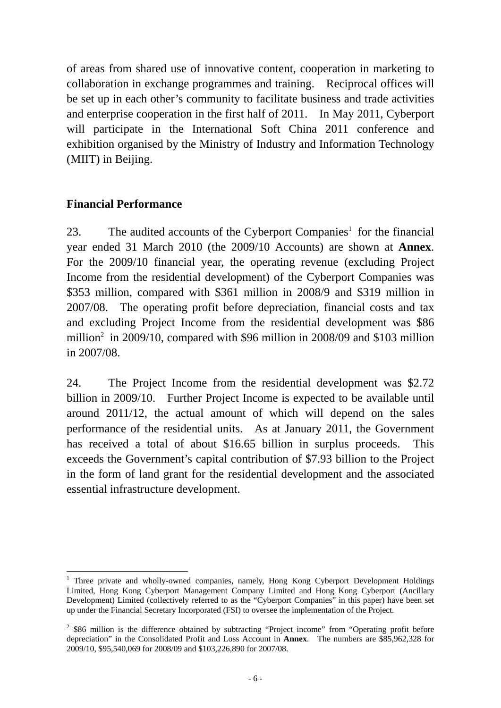of areas from shared use of innovative content, cooperation in marketing to collaboration in exchange programmes and training. Reciprocal offices will be set up in each other's community to facilitate business and trade activities and enterprise cooperation in the first half of 2011. In May 2011, Cyberport will participate in the International Soft China 2011 conference and exhibition organised by the Ministry of Industry and Information Technology (MIIT) in Beijing.

## **Financial Performance**

23. The audited accounts of the Cyberport Companies<sup>1</sup> for the financial year ended 31 March 2010 (the 2009/10 Accounts) are shown at **Annex**. For the 2009/10 financial year, the operating revenue (excluding Project Income from the residential development) of the Cyberport Companies was \$353 million, compared with \$361 million in 2008/9 and \$319 million in 2007/08. The operating profit before depreciation, financial costs and tax and excluding Project Income from the residential development was \$86 million<sup>2</sup> in 2009/10, compared with \$96 million in 2008/09 and \$103 million in 2007/08.

24. The Project Income from the residential development was \$2.72 billion in 2009/10. Further Project Income is expected to be available until around 2011/12, the actual amount of which will depend on the sales performance of the residential units. As at January 2011, the Government has received a total of about \$16.65 billion in surplus proceeds. This exceeds the Government's capital contribution of \$7.93 billion to the Project in the form of land grant for the residential development and the associated essential infrastructure development.

<sup>&</sup>lt;sup>1</sup> Three private and wholly-owned companies, namely, Hong Kong Cyberport Development Holdings Limited, Hong Kong Cyberport Management Company Limited and Hong Kong Cyberport (Ancillary Development) Limited (collectively referred to as the "Cyberport Companies" in this paper) have been set up under the Financial Secretary Incorporated (FSI) to oversee the implementation of the Project.

 $2$  \$86 million is the difference obtained by subtracting "Project income" from "Operating profit before depreciation" in the Consolidated Profit and Loss Account in **Annex**. The numbers are \$85,962,328 for 2009/10, \$95,540,069 for 2008/09 and \$103,226,890 for 2007/08.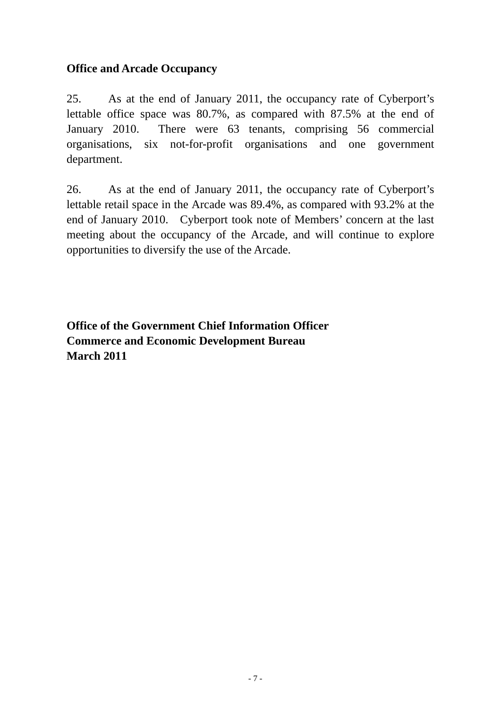## **Office and Arcade Occupancy**

25. As at the end of January 2011, the occupancy rate of Cyberport's lettable office space was 80.7%, as compared with 87.5% at the end of January 2010. There were 63 tenants, comprising 56 commercial organisations, six not-for-profit organisations and one government department.

26. As at the end of January 2011, the occupancy rate of Cyberport's lettable retail space in the Arcade was 89.4%, as compared with 93.2% at the end of January 2010. Cyberport took note of Members' concern at the last meeting about the occupancy of the Arcade, and will continue to explore opportunities to diversify the use of the Arcade.

**Office of the Government Chief Information Officer Commerce and Economic Development Bureau March 2011**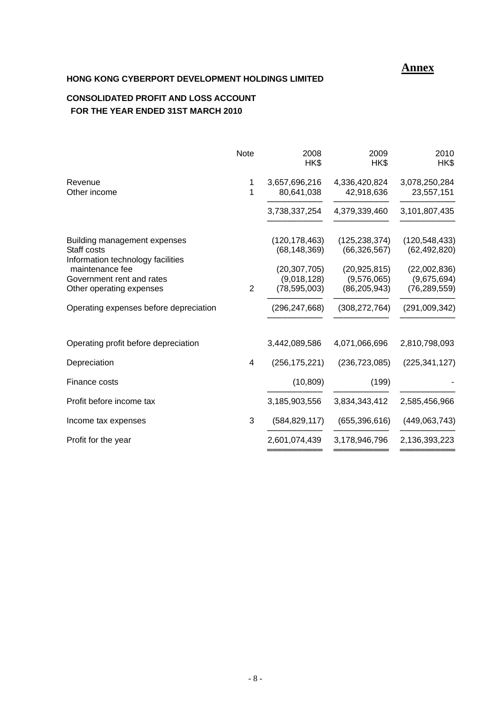## **Annex**

## **HONG KONG CYBERPORT DEVELOPMENT HOLDINGS LIMITED**

## **CONSOLIDATED PROFIT AND LOSS ACCOUNT FOR THE YEAR ENDED 31ST MARCH 2010**

| <b>Note</b>    | 2008<br>HK\$                      | 2009<br>HK\$                      | 2010<br>HK\$                                  |
|----------------|-----------------------------------|-----------------------------------|-----------------------------------------------|
| 1<br>1         | 3,657,696,216<br>80,641,038       | 4,336,420,824<br>42,918,636       | 3,078,250,284<br>23,557,151                   |
|                | 3,738,337,254                     | 4,379,339,460                     | 3,101,807,435                                 |
|                | (120, 178, 463)<br>(68, 148, 369) | (125, 238, 374)<br>(66, 326, 567) | (120, 548, 433)<br>(62, 492, 820)             |
| $\overline{2}$ | (9,018,128)<br>(78, 595, 003)     | (9,576,065)<br>(86, 205, 943)     | (22,002,836)<br>(9,675,694)<br>(76, 289, 559) |
|                | (296, 247, 668)                   | (308, 272, 764)                   | (291,009,342)                                 |
|                | 3,442,089,586                     | 4,071,066,696                     | 2,810,798,093                                 |
| 4              | (256, 175, 221)                   | (236, 723, 085)                   | (225, 341, 127)                               |
|                | (10, 809)                         | (199)                             |                                               |
|                | 3,185,903,556                     | 3,834,343,412                     | 2,585,456,966                                 |
| 3              | (584, 829, 117)                   | (655, 396, 616)                   | (449,063,743)                                 |
|                | 2,601,074,439                     | 3,178,946,796                     | 2,136,393,223                                 |
|                |                                   | (20, 307, 705)                    | (20, 925, 815)                                |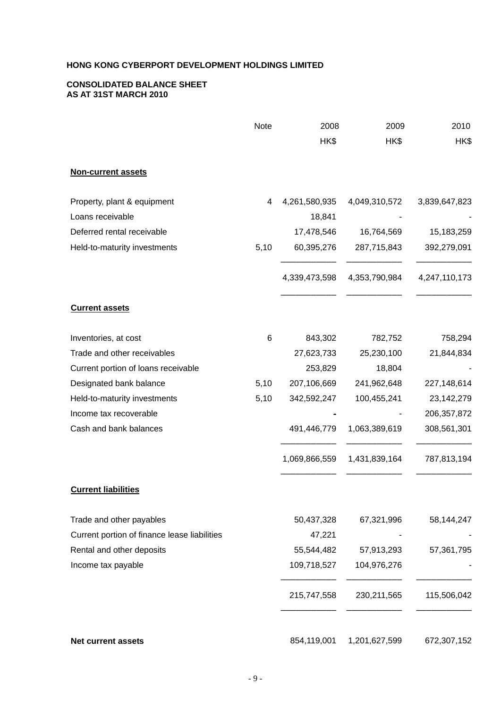### **CONSOLIDATED BALANCE SHEET AS AT 31ST MARCH 2010**

|                                              | Note | 2008          | 2009          | 2010          |
|----------------------------------------------|------|---------------|---------------|---------------|
|                                              |      | HK\$          | HK\$          | HK\$          |
| <b>Non-current assets</b>                    |      |               |               |               |
| Property, plant & equipment                  | 4    | 4,261,580,935 | 4,049,310,572 | 3,839,647,823 |
| Loans receivable                             |      | 18,841        |               |               |
| Deferred rental receivable                   |      | 17,478,546    | 16,764,569    | 15,183,259    |
| Held-to-maturity investments                 | 5,10 | 60,395,276    | 287,715,843   | 392,279,091   |
|                                              |      | 4,339,473,598 | 4,353,790,984 | 4,247,110,173 |
| <b>Current assets</b>                        |      |               |               |               |
| Inventories, at cost                         | 6    | 843,302       | 782,752       | 758,294       |
| Trade and other receivables                  |      | 27,623,733    | 25,230,100    | 21,844,834    |
| Current portion of loans receivable          |      | 253,829       | 18,804        |               |
| Designated bank balance                      | 5,10 | 207,106,669   | 241,962,648   | 227,148,614   |
| Held-to-maturity investments                 | 5,10 | 342,592,247   | 100,455,241   | 23,142,279    |
| Income tax recoverable                       |      |               |               | 206, 357, 872 |
| Cash and bank balances                       |      | 491,446,779   | 1,063,389,619 | 308,561,301   |
|                                              |      | 1,069,866,559 | 1,431,839,164 | 787,813,194   |
| <b>Current liabilities</b>                   |      |               |               |               |
| Trade and other payables                     |      | 50,437,328    | 67,321,996    | 58,144,247    |
| Current portion of finance lease liabilities |      | 47,221        |               |               |
| Rental and other deposits                    |      | 55,544,482    | 57,913,293    | 57,361,795    |
| Income tax payable                           |      | 109,718,527   | 104,976,276   |               |
|                                              |      | 215,747,558   | 230, 211, 565 | 115,506,042   |
| <b>Net current assets</b>                    |      | 854,119,001   | 1,201,627,599 | 672,307,152   |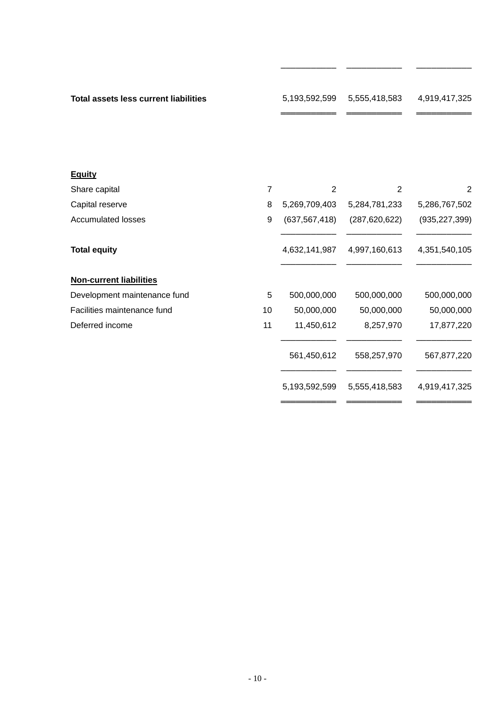| <b>Total assets less current liabilities</b> |                | 5,193,592,599   | 5,555,418,583   | 4,919,417,325   |
|----------------------------------------------|----------------|-----------------|-----------------|-----------------|
| <b>Equity</b>                                |                |                 |                 |                 |
| Share capital                                | $\overline{7}$ | $\overline{2}$  | 2               | 2               |
| Capital reserve                              | 8              | 5,269,709,403   | 5,284,781,233   | 5,286,767,502   |
| <b>Accumulated losses</b>                    | 9              | (637, 567, 418) | (287, 620, 622) | (935, 227, 399) |
| <b>Total equity</b>                          |                | 4,632,141,987   | 4,997,160,613   | 4,351,540,105   |
| <b>Non-current liabilities</b>               |                |                 |                 |                 |
| Development maintenance fund                 | 5              | 500,000,000     | 500,000,000     | 500,000,000     |
| Facilities maintenance fund                  | 10             | 50,000,000      | 50,000,000      | 50,000,000      |
| Deferred income                              | 11             | 11,450,612      | 8,257,970       | 17,877,220      |
|                                              |                | 561,450,612     | 558,257,970     | 567,877,220     |
|                                              |                | 5,193,592,599   | 5,555,418,583   | 4,919,417,325   |
|                                              |                |                 |                 |                 |

─────────── ─────────── ───────────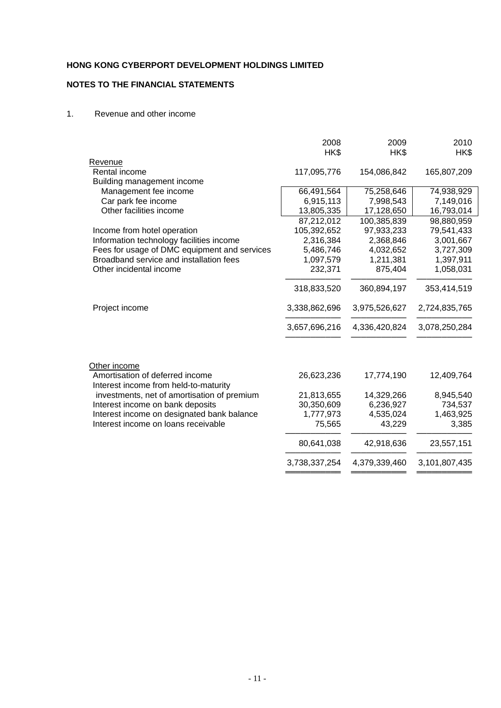## **NOTES TO THE FINANCIAL STATEMENTS**

#### 1. Revenue and other income

|                                                 | 2008          | 2009          | 2010          |
|-------------------------------------------------|---------------|---------------|---------------|
|                                                 | HK\$          | HK\$          | HK\$          |
| Revenue                                         |               |               |               |
| Rental income                                   | 117,095,776   | 154,086,842   | 165,807,209   |
| Building management income                      |               |               |               |
| Management fee income                           | 66,491,564    | 75,258,646    | 74,938,929    |
| Car park fee income                             | 6,915,113     | 7,998,543     | 7,149,016     |
| Other facilities income                         | 13,805,335    | 17,128,650    | 16,793,014    |
|                                                 | 87,212,012    | 100,385,839   | 98,880,959    |
| Income from hotel operation                     | 105,392,652   | 97,933,233    | 79,541,433    |
| Information technology facilities income        | 2,316,384     | 2,368,846     | 3,001,667     |
| Fees for usage of DMC equipment and services    | 5,486,746     | 4,032,652     | 3,727,309     |
| Broadband service and installation fees         | 1,097,579     | 1,211,381     | 1,397,911     |
| Other incidental income                         | 232,371       | 875,404       | 1,058,031     |
|                                                 | 318,833,520   | 360,894,197   | 353,414,519   |
| Project income                                  | 3,338,862,696 | 3,975,526,627 | 2,724,835,765 |
|                                                 | 3,657,696,216 | 4,336,420,824 | 3,078,250,284 |
| Other income<br>Amortisation of deferred income | 26,623,236    | 17,774,190    | 12,409,764    |
| Interest income from held-to-maturity           |               |               |               |
| investments, net of amortisation of premium     | 21,813,655    | 14,329,266    | 8,945,540     |
| Interest income on bank deposits                | 30,350,609    | 6,236,927     | 734,537       |
| Interest income on designated bank balance      | 1,777,973     | 4,535,024     | 1,463,925     |
| Interest income on loans receivable             | 75,565        | 43,229        | 3,385         |
|                                                 | 80,641,038    | 42,918,636    | 23,557,151    |
|                                                 |               |               |               |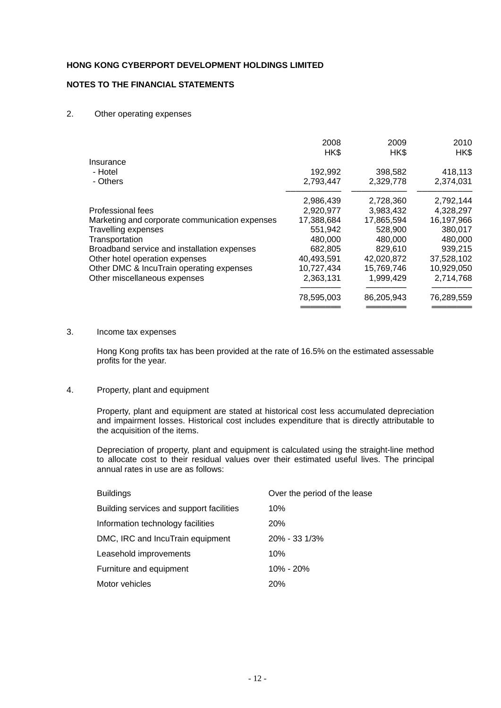### **NOTES TO THE FINANCIAL STATEMENTS**

#### 2. Other operating expenses

|                                                | 2008<br>HK\$ | 2009<br>HK\$ | 2010<br>HK\$ |
|------------------------------------------------|--------------|--------------|--------------|
| Insurance                                      |              |              |              |
| - Hotel                                        | 192,992      | 398,582      | 418,113      |
| - Others                                       | 2,793,447    | 2,329,778    | 2,374,031    |
|                                                | 2,986,439    | 2,728,360    | 2,792,144    |
| Professional fees                              | 2,920,977    | 3,983,432    | 4,328,297    |
| Marketing and corporate communication expenses | 17,388,684   | 17,865,594   | 16,197,966   |
| <b>Travelling expenses</b>                     | 551,942      | 528,900      | 380,017      |
| Transportation                                 | 480,000      | 480,000      | 480,000      |
| Broadband service and installation expenses    | 682,805      | 829,610      | 939,215      |
| Other hotel operation expenses                 | 40,493,591   | 42,020,872   | 37,528,102   |
| Other DMC & IncuTrain operating expenses       | 10,727,434   | 15,769,746   | 10,929,050   |
| Other miscellaneous expenses                   | 2,363,131    | 1,999,429    | 2,714,768    |
|                                                | 78,595,003   | 86,205,943   | 76,289,559   |
|                                                |              |              |              |

#### 3. Income tax expenses

Hong Kong profits tax has been provided at the rate of 16.5% on the estimated assessable profits for the year.

#### 4. Property, plant and equipment

Property, plant and equipment are stated at historical cost less accumulated depreciation and impairment losses. Historical cost includes expenditure that is directly attributable to the acquisition of the items.

 Depreciation of property, plant and equipment is calculated using the straight-line method to allocate cost to their residual values over their estimated useful lives. The principal annual rates in use are as follows:

| <b>Buildings</b>                         | Over the period of the lease |
|------------------------------------------|------------------------------|
| Building services and support facilities | 10%                          |
| Information technology facilities        | <b>20%</b>                   |
| DMC, IRC and IncuTrain equipment         | $20\% - 33\frac{1}{3}\%$     |
| Leasehold improvements                   | 10%                          |
| Furniture and equipment                  | $10\% - 20\%$                |
| Motor vehicles                           | <b>20%</b>                   |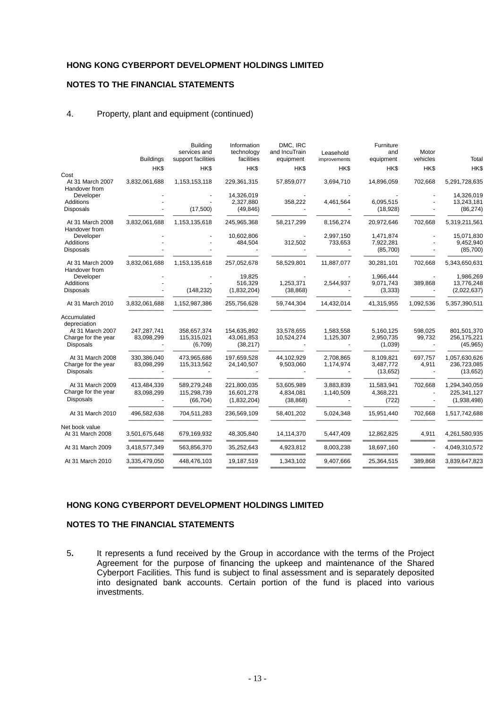### **NOTES TO THE FINANCIAL STATEMENTS**

#### 4. Property, plant and equipment (continued)

|                                                             | <b>Buildings</b>          | <b>Building</b><br>services and<br>support facilities | Information<br>technology<br>facilities  | DMC. IRC<br>and IncuTrain<br>equipment | Leasehold<br>improvements | Furniture<br>and<br>equipment      | Motor<br>vehicles                   | Total                                       |
|-------------------------------------------------------------|---------------------------|-------------------------------------------------------|------------------------------------------|----------------------------------------|---------------------------|------------------------------------|-------------------------------------|---------------------------------------------|
|                                                             | HK\$                      | HK\$                                                  | HK\$                                     | HK\$                                   | HK\$                      | HK\$                               | HK\$                                | HK\$                                        |
| Cost<br>At 31 March 2007<br>Handover from                   | 3,832,061,688             | 1,153,153,118                                         | 229,361,315                              | 57,859,077                             | 3,694,710                 | 14,896,059                         | 702,668                             | 5,291,728,635                               |
| Developer<br>Additions<br><b>Disposals</b>                  |                           | (17,500)                                              | 14.326.019<br>2,327,880<br>(49, 846)     | 358,222                                | 4,461,564                 | 6,095,515<br>(18,928)              |                                     | 14,326,019<br>13,243,181<br>(86, 274)       |
| At 31 March 2008<br>Handover from                           | 3,832,061,688             | 1,153,135,618                                         | 245,965,368                              | 58,217,299                             | 8.156.274                 | 20,972,646                         | 702.668                             | 5,319,211,561                               |
| Developer<br>Additions<br>Disposals                         |                           |                                                       | 10,602,806<br>484,504                    | 312,502                                | 2,997,150<br>733,653      | 1,471,874<br>7,922,281<br>(85,700) |                                     | 15,071,830<br>9,452,940<br>(85,700)         |
| At 31 March 2009<br>Handover from                           | 3,832,061,688             | 1,153,135,618                                         | 257,052,678                              | 58,529,801                             | 11,887,077                | 30,281,101                         | 702,668                             | 5,343,650,631                               |
| Developer<br><b>Additions</b><br><b>Disposals</b>           |                           | (148, 232)                                            | 19,825<br>516,329<br>(1,832,204)         | 1,253,371<br>(38, 868)                 | 2,544,937                 | 1,966,444<br>9,071,743<br>(3,333)  | 389,868                             | 1,986,269<br>13,776,248<br>(2,022,637)      |
| At 31 March 2010                                            | 3,832,061,688             | 1,152,987,386                                         | 255,756,628                              | 59,744,304                             | 14,432,014                | 41,315,955                         | 1,092,536                           | 5,357,390,511                               |
| Accumulated<br>depreciation                                 |                           |                                                       |                                          |                                        |                           |                                    |                                     |                                             |
| At 31 March 2007<br>Charge for the year<br><b>Disposals</b> | 247,287,741<br>83,098,299 | 358,657,374<br>115,315,021<br>(6, 709)                | 154,635,892<br>43,061,853<br>(38, 217)   | 33,578,655<br>10,524,274               | 1,583,558<br>1,125,307    | 5,160,125<br>2,950,735<br>(1,039)  | 598,025<br>99,732<br>$\blacksquare$ | 801,501,370<br>256,175,221<br>(45, 965)     |
| At 31 March 2008<br>Charge for the year<br><b>Disposals</b> | 330,386,040<br>83,098,299 | 473,965,686<br>115,313,562                            | 197,659,528<br>24,140,507                | 44,102,929<br>9,503,060                | 2,708,865<br>1,174,974    | 8,109,821<br>3,487,772<br>(13,652) | 697,757<br>4,911<br>$\blacksquare$  | 1,057,630,626<br>236,723,085<br>(13, 652)   |
| At 31 March 2009<br>Charge for the year<br><b>Disposals</b> | 413,484,339<br>83,098,299 | 589,279,248<br>115,298,739<br>(66, 704)               | 221,800,035<br>16,601,278<br>(1,832,204) | 53,605,989<br>4,834,081<br>(38, 868)   | 3,883,839<br>1,140,509    | 11,583,941<br>4,368,221<br>(722)   | 702,668                             | 1,294,340,059<br>225,341,127<br>(1,938,498) |
| At 31 March 2010                                            | 496,582,638               | 704,511,283                                           | 236,569,109                              | 58,401,202                             | 5,024,348                 | 15,951,440                         | 702,668                             | 1,517,742,688                               |
| Net book value<br>At 31 March 2008                          | 3,501,675,648             | 679,169,932                                           | 48,305,840                               | 14,114,370                             | 5,447,409                 | 12,862,825                         | 4,911                               | 4,261,580,935                               |
| At 31 March 2009                                            | 3,418,577,349             | 563,856,370                                           | 35,252,643                               | 4,923,812                              | 8,003,238                 | 18,697,160                         | $\overline{\phantom{a}}$            | 4,049,310,572                               |
| At 31 March 2010                                            | 3,335,479,050             | 448,476,103                                           | 19,187,519                               | 1,343,102                              | 9.407.666                 | 25,364,515                         | 389,868                             | 3,839,647,823                               |
|                                                             |                           |                                                       |                                          |                                        |                           |                                    |                                     |                                             |

#### **HONG KONG CYBERPORT DEVELOPMENT HOLDINGS LIMITED**

#### **NOTES TO THE FINANCIAL STATEMENTS**

5**.** It represents a fund received by the Group in accordance with the terms of the Project Agreement for the purpose of financing the upkeep and maintenance of the Shared Cyberport Facilities. This fund is subject to final assessment and is separately deposited into designated bank accounts. Certain portion of the fund is placed into various investments.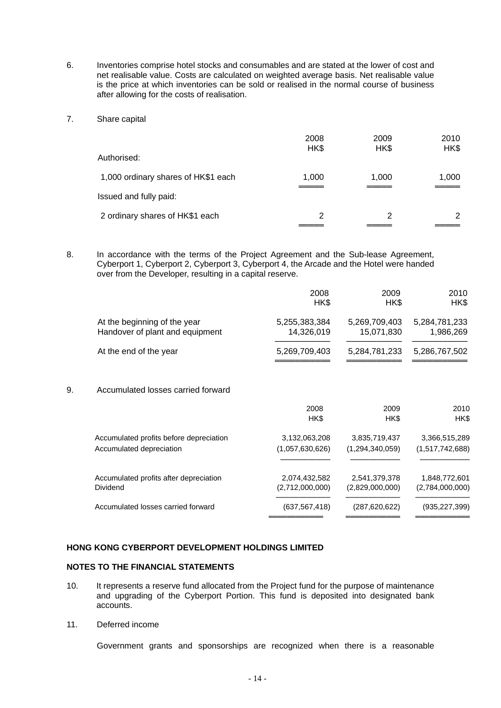- 6. Inventories comprise hotel stocks and consumables and are stated at the lower of cost and net realisable value. Costs are calculated on weighted average basis. Net realisable value is the price at which inventories can be sold or realised in the normal course of business after allowing for the costs of realisation.
- 7. Share capital

|                                     | 2008<br>HK\$ | 2009<br>HK\$ | 2010<br>HK\$ |
|-------------------------------------|--------------|--------------|--------------|
| Authorised:                         |              |              |              |
| 1,000 ordinary shares of HK\$1 each | 1,000        | 1,000        | 1,000        |
| Issued and fully paid:              |              |              |              |
| 2 ordinary shares of HK\$1 each     | 2            | 2            | 2            |

8. In accordance with the terms of the Project Agreement and the Sub-lease Agreement, Cyberport 1, Cyberport 2, Cyberport 3, Cyberport 4, the Arcade and the Hotel were handed over from the Developer, resulting in a capital reserve.

|    |                                                                 | 2008<br>HK\$                     | 2009<br>HK\$                     | 2010<br>HK\$                     |
|----|-----------------------------------------------------------------|----------------------------------|----------------------------------|----------------------------------|
|    | At the beginning of the year<br>Handover of plant and equipment | 5,255,383,384<br>14,326,019      | 5,269,709,403<br>15,071,830      | 5,284,781,233<br>1,986,269       |
|    | At the end of the year                                          | 5,269,709,403                    | 5,284,781,233                    | 5,286,767,502                    |
| 9. | Accumulated losses carried forward                              |                                  |                                  |                                  |
|    |                                                                 | 2008<br>HK\$                     | 2009<br>HK\$                     | 2010<br>HK\$                     |
|    | Accumulated profits before depreciation                         | 3,132,063,208                    | 3,835,719,437                    | 3,366,515,289                    |
|    | Accumulated depreciation                                        | (1,057,630,626)                  | (1,294,340,059)                  | (1,517,742,688)                  |
|    | Accumulated profits after depreciation<br>Dividend              | 2,074,432,582<br>(2,712,000,000) | 2,541,379,378<br>(2,829,000,000) | 1,848,772,601<br>(2,784,000,000) |
|    | Accumulated losses carried forward                              | (637, 567, 418)                  | (287,620,622)                    | (935,227,399)                    |

═══════════════<br>══════════════════

#### **HONG KONG CYBERPORT DEVELOPMENT HOLDINGS LIMITED**

#### **NOTES TO THE FINANCIAL STATEMENTS**

- 10. It represents a reserve fund allocated from the Project fund for the purpose of maintenance and upgrading of the Cyberport Portion. This fund is deposited into designated bank accounts.
- 11. Deferred income

Government grants and sponsorships are recognized when there is a reasonable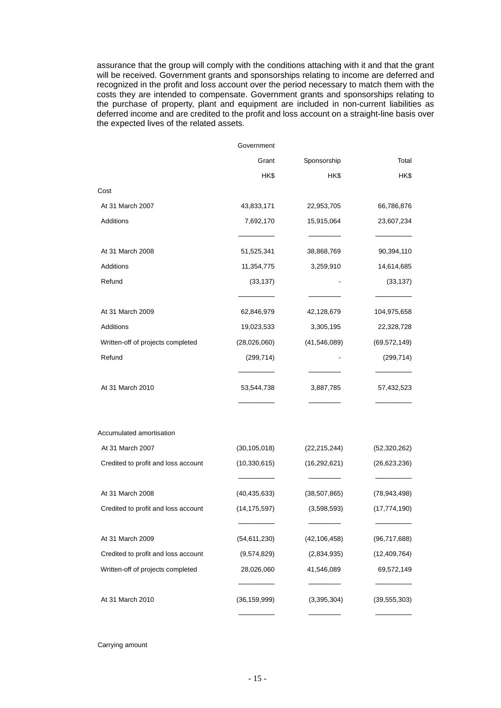assurance that the group will comply with the conditions attaching with it and that the grant will be received. Government grants and sponsorships relating to income are deferred and recognized in the profit and loss account over the period necessary to match them with the costs they are intended to compensate. Government grants and sponsorships relating to the purchase of property, plant and equipment are included in non-current liabilities as deferred income and are credited to the profit and loss account on a straight-line basis over the expected lives of the related assets.

|                                     | Government     |                          |                |
|-------------------------------------|----------------|--------------------------|----------------|
|                                     | Grant          | Sponsorship              | Total          |
|                                     | HK\$           | HK\$                     | HK\$           |
| Cost                                |                |                          |                |
| At 31 March 2007                    | 43,833,171     | 22,953,705               | 66,786,876     |
| Additions                           | 7,692,170      | 15,915,064<br>23,607,234 |                |
| At 31 March 2008                    | 51,525,341     | 38,868,769               | 90,394,110     |
| Additions                           | 11,354,775     | 3,259,910                | 14,614,685     |
| Refund                              | (33, 137)      |                          | (33, 137)      |
| At 31 March 2009                    | 62,846,979     | 42,128,679               | 104,975,658    |
| Additions                           | 19,023,533     | 3,305,195                | 22,328,728     |
| Written-off of projects completed   | (28,026,060)   | (41, 546, 089)           | (69, 572, 149) |
| Refund                              | (299, 714)     |                          | (299, 714)     |
| At 31 March 2010                    | 53,544,738     | 3,887,785                | 57,432,523     |
| Accumulated amortisation            |                |                          |                |
| At 31 March 2007                    | (30, 105, 018) | (22, 215, 244)           | (52,320,262)   |
| Credited to profit and loss account | (10, 330, 615) | (16, 292, 621)           | (26, 623, 236) |
| At 31 March 2008                    | (40, 435, 633) | (38, 507, 865)           | (78, 943, 498) |
| Credited to profit and loss account | (14, 175, 597) | (3,598,593)              | (17, 774, 190) |
| At 31 March 2009                    | (54, 611, 230) | (42, 106, 458)           | (96, 717, 688) |
| Credited to profit and loss account | (9,574,829)    | (2,834,935)              | (12, 409, 764) |
| Written-off of projects completed   | 28,026,060     | 41,546,089               | 69,572,149     |
| At 31 March 2010                    | (36, 159, 999) | (3,395,304)              | (39, 555, 303) |
|                                     |                |                          |                |

Carrying amount